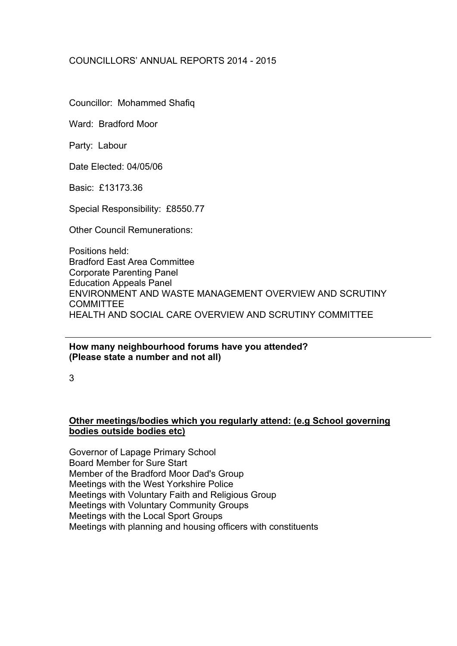# COUNCILLORS' ANNUAL REPORTS 2014 - 2015

Councillor: Mohammed Shafiq

Ward: Bradford Moor

Party: Labour

Date Elected: 04/05/06

Basic: £13173.36

Special Responsibility: £8550.77

Other Council Remunerations:

Positions held: Bradford East Area Committee Corporate Parenting Panel Education Appeals Panel ENVIRONMENT AND WASTE MANAGEMENT OVERVIEW AND SCRUTINY **COMMITTEE** HEALTH AND SOCIAL CARE OVERVIEW AND SCRUTINY COMMITTEE

#### **How many neighbourhood forums have you attended? (Please state a number and not all)**

3

### **Other meetings/bodies which you regularly attend: (e.g School governing bodies outside bodies etc)**

Governor of Lapage Primary School Board Member for Sure Start Member of the Bradford Moor Dad's Group Meetings with the West Yorkshire Police Meetings with Voluntary Faith and Religious Group Meetings with Voluntary Community Groups Meetings with the Local Sport Groups Meetings with planning and housing officers with constituents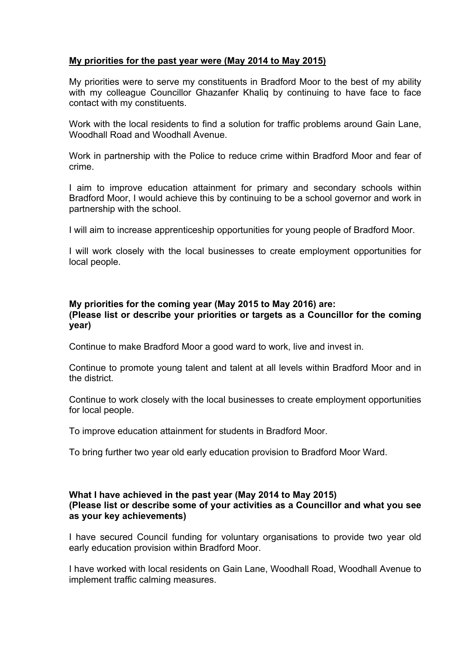## **My priorities for the past year were (May 2014 to May 2015)**

My priorities were to serve my constituents in Bradford Moor to the best of my ability with my colleague Councillor Ghazanfer Khalig by continuing to have face to face contact with my constituents.

Work with the local residents to find a solution for traffic problems around Gain Lane, Woodhall Road and Woodhall Avenue.

Work in partnership with the Police to reduce crime within Bradford Moor and fear of crime.

I aim to improve education attainment for primary and secondary schools within Bradford Moor, I would achieve this by continuing to be a school governor and work in partnership with the school.

I will aim to increase apprenticeship opportunities for young people of Bradford Moor.

I will work closely with the local businesses to create employment opportunities for local people.

# **My priorities for the coming year (May 2015 to May 2016) are:**

### **(Please list or describe your priorities or targets as a Councillor for the coming year)**

Continue to make Bradford Moor a good ward to work, live and invest in.

Continue to promote young talent and talent at all levels within Bradford Moor and in the district.

Continue to work closely with the local businesses to create employment opportunities for local people.

To improve education attainment for students in Bradford Moor.

To bring further two year old early education provision to Bradford Moor Ward.

#### **What I have achieved in the past year (May 2014 to May 2015) (Please list or describe some of your activities as a Councillor and what you see as your key achievements)**

I have secured Council funding for voluntary organisations to provide two year old early education provision within Bradford Moor.

I have worked with local residents on Gain Lane, Woodhall Road, Woodhall Avenue to implement traffic calming measures.